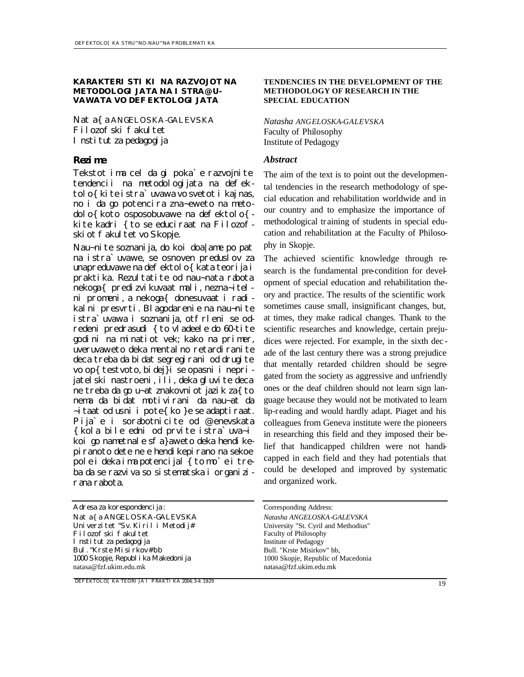### **KARAKTERISTIKI NA RAZVOJOT NA METODOLOGIJATA NA ISTRA@U-VAWATA VO DEFEKTOLOGIJATA**

*Nata{a ANGELOSKA-GALEVSKA* Filozofski fakultet Institut za pedagogija

Tekstot ima cel da gi poka`e razvojnite tendencii na metodologijata na defektolo{kite istra`uvawa vo svetot i kaj nas, no i da go potencira zna~eweto na meto- $\text{d}$ olo{ koto osposobuvawe na defektolo{ kite kadri {to se educiraat na Filozofski ot fakul tet vo Skopje.

Nau~nite soznanija, do koi doa|ame po pat na istra`uvawe, se osnoven preduslov za unapreduvawe na defektolo{ kata teorija i praktika. Rezultatite od nau~nata rabota nekoga{ predizvikuvaat mali, nezna~itelni promeni, a nekoga{ donesuvaat i radikalni presvrti. Blagodarenie na nau~nite istra`uvawa i soznanija, otfrleni se odredeni predrasudi {to vladeele do 60-tite godini na minatiot vek; kako na primer, uveruvaweto deka mentalno retardiranite deca treba da bidat segregirani od drugite vo op{ testvoto, bidej}i se opasni i neprijatelski nastroeni, ili, deka gluvite deca ne treba da go u~at znakovniot jazik za{to nema da bidat motivirani da nau~at da  $\sim$ itaat od usni i pote{ko }e se adaptiraat. Pija`e i sorabotnicite od @enevskata {kola bile edni od prvite istra`uva~i koi go nametnale sfa}aweto deka hendikepiranoto dete ne e hendikepirano na sekoe pole i deka i ma potencijal { to mo `e i treba da se razviva so sistematska i organizirana rabota.

*DEFEKTOLO[KA TEORIJA I PRAKTIKA 2004; 3-4: 19-29*

### **TENDENCIES IN THE DEVELOPMENT OF THE METHODOLOGY OF RESEARCH IN THE SPECIAL EDUCATION**

*Natasha ANGELOSKA-GALEVSKA* Faculty of Philosophy Institute of Pedagogy

### *Rezime Abstract*

The aim of the text is to point out the developmental tendencies in the research methodology of special education and rehabilitation worldwide and in our country and to emphasize the importance of methodological tr aining of students in special education and rehabilitation at the Faculty of Philosophy in Skopje.

The achieved scientific knowledge through research is the fundamental pre-condition for development of special education and rehabilitation theory and practice. The results of the scientific work sometimes cause small, insignificant changes, but, at times, they make radical changes. Thank to the scientific researches and knowledge, certain prejudices were rejected. For example, in the sixth dec ade of the last century there was a strong prejudice that mentally retarded children should be segregated from the society as aggressive and unfriendly ones or the deaf children should not learn sign language because they would not be motivated to learn lip-reading and would hardly adapt. Piaget and his colleagues from Geneva institute were the pioneers in researching this field and they imposed their belief that handicapped children were not handicapped in each field and they had potentials that could be developed and improved by systematic and organized work.

University "St. Cyril and Methodius" Faculty of Philosophy Institute of Pedagogy Bull. "Krste Misirkov" bb, 1000 Skopje, Republic of Macedonia natasa@fzf.ukim.edu.mk

Adresa za korespondencija: Corresponding Address: *Nata{a ANGELOSKA-GALEVSKA Natasha ANGELOSKA-GALEVSKA* Univerzitet "Sv. Kiril i Metodij# Filozofski fakultet Institut za pedagogija Bul. "Krste Misirkov# bb 1000 Skopje, Republ i ka Makedoni ja natasa@fzf.ukim.edu.mk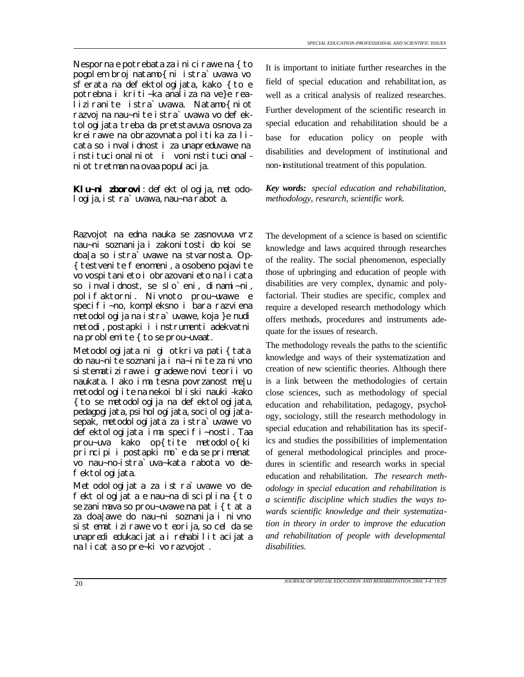Nesporna e potrebata za i ni ci rawe na {to pogolem broj natamo{ni istra`uvawa vo sferata na defektologijata, kako {to e potrebna i kriti~ka analiza na ve}e realiziranite istra`uvawa. Natamo{niot razvoj na nau~nite istra`uvawa vo defektologijata treba da pretstavuva osnova za kreirawe na obrazovnata politika za licata so invalidnost i za unapreduvawe na institucionalniot i voninstitucionalni ot tretman na ovaa popul aci ja.

Klu~ni zborovi: defektologija, metodo*logija, istra`uvawa, nau~na rabota.*

Razvojot na edna nauka se zasnovuva vrz nau~ni soznanija i zakonitosti do koi se doa|a so istra`uvawe na stvarnosta. Op- { testvenite fenomeni, a osobeno pojavite vo vospitanieto i obrazovanieto na licata so invalidnost, se slo`eni, dinami~ni, polifaktorni. Nivnoto prou~uvawe e specifi~no, kompleksno i bara razviena metodologija na istra`uvawe, koja }e nudi metodi, postapki i instrumenti adekvatni na problemite { to se prou~uvaat.

Metodologijata ni gi otkriva pati{tata do nau~nite soznanija i na~inite za nivno sistematizirawe i gradewe novi teorii vo naukata. Iako ima tesna povrzanost me|u metodologiite na nekoi bliski nauki-kako {to se metodologija na defektologijata, pedagogi jata, psi hol ogi jata, soci ol ogi jatasepak, metodologijata za istra`uvawe vo defektologijata ima specifi~nosti. Taa prou~uva kako op{tite metodolo{ki principi i postapki mo`e da se primenat vo nau~no-istra`uva~kata rabota vo defektol ogi jata.

Met odologijat a za ist ra`uvawe vo de*fektologijata e nau~na disciplina {to se zanimava so prou~uvawe na pati{tata za doa|awe do nau~ni soznanija i nivno sistematizirawe vo teorija, so cel da se unapredi edukacijata i rehabilitacijata na licata so pre~ki vo razvojot.*

It is important to initiate further researches in the field of special education and rehabilitation, as well as a critical analysis of realized researches. Further development of the scientific research in special education and rehabilitation should be a base for education policy on people with disabilities and development of institutional and non-institutional treatment of this population.

*Key words: special education and rehabilitation, methodology, research, scientific work.*

The development of a science is based on scientific knowledge and laws acquired through researches of the reality. The social phenomenon, especially those of upbringing and education of people with disabilities are very complex, dynamic and polyfactorial. Their studies are specific, complex and require a developed research methodology which offers methods, procedures and instruments adequate for the issues of research.

The methodology reveals the paths to the scientific knowledge and ways of their systematization and creation of new scientific theories. Although there is a link between the methodologies of certain close sciences, such as methodology of special education and rehabilitation, pedagogy, psychology, sociology, still the research methodology in special education and rehabilitation has its specifics and studies the possibilities of implementation of general methodological principles and procedures in scientific and research works in special education and rehabilitation. *The research methodology in special education and rehabilitation is a scientific discipline which studies the ways towards scientific knowledge and their systematization in theory in order to improve the education and rehabilitation of people with developmental disabilities.*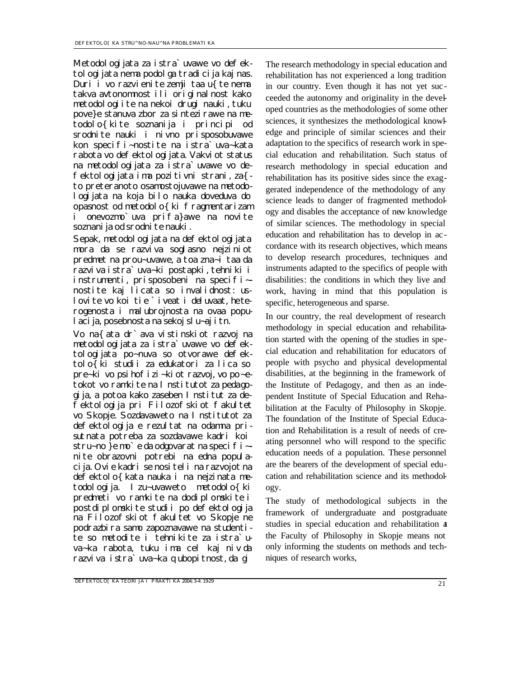Metodol ogijata za istra`uvawe vo defektologijata nema podolga tradicija kaj nas. Duri i vo razvienite zemji taa u{te nema takva avtonomnost ili originalnost kako metodologiite na nekoi drugi nauki, tuku pove}e stanuva zbor za sintezirawe na metodolo{kite soznanija i principi od srodnite nauki i nivno prisposobuvawe kon specifi~nostite na istra`uva~kata rabota vo defektol ogijata. Vakvi ot status na metodologijata za istra`uvawe vo defektologijata ima pozitivni strani, za{ to preteranoto osamostojuvawe na metodologijata na koja bilo nauka doveduva do opasnost od metodolo{ki fragmentarizam i onevozmo`uva prifa}awe na novite soznanija od srodnite nauki.

Sepak, metodologijata na defektologijata mora da se razviva soglasno nejziniot predmet na prou~uvawe, a toa zna~i taa da razviva istra`uva~ki postapki, tehniki i instrumenti, prisposobeni na specifi~ nostite kaj licata so invalidnost: uslovite vo koi tie `iveat i deluvaat, heterogenosta i malubrojnosta na ovaa populacija, posebnosta na sekoj slu~aj itn.

Vo na{ata dr`ava vistinskiot razvoj na metodologijata za istra`uvawe vo defektologijata po~nuva so otvorawe defektolo{ki studii za edukatori za lica so pre~ki vo psihofizi~kiot razvoj, vo po~etokot vo ramkite na I nstitutot za pedagogija, a potoa kako zaseben Institut za defektologija pri Filozofskiot fakultet vo Skopje. Sozdavaweto na Institutot za defektologija e rezultat na odamna prisutnata potreba za sozdavawe kadri koi stru~no }e mo`e da odgovarat na specifi~nite obrazovni potrebi na edna populacija. Ovie kadri se nositeli na razvojot na defektolo{kata nauka i na nejzinata metodologija. Izu~uvaweto metodolo{ki predmeti vo ramkite na dodiplomskite i postdiplomskite studii po defektologija na Filozofskiot fakultet vo Skopje ne podrazbira samo zapoznavawe na studentite so metodite i tehnikite za istra`uva~ka rabota, tuku ima cel kaj niv da razviva istra`uva~ka qubopitnost, da gi

The research methodology in special education and rehabilitation has not experienced a long tradition in our country. Even though it has not yet suc ceeded the autonomy and originality in the developed countries as the methodologies of some other sciences, it synthesizes the methodological knowledge and principle of similar sciences and their adaptation to the specifics of research work in special education and rehabilitation. Such status of research methodology in special education and rehabilitation has its positive sides since the exaggerated independence of the methodology of any science leads to danger of fragmented methodology and disables the acceptance of new knowledge of similar sciences. The methodology in special education and rehabilitation has to develop in ac cordance with its research objectives, which means to develop research procedures, techniques and instruments adapted to the specifics of people with disabilities: the conditions in which they live and work, having in mind that this population is specific, heterogeneous and sparse.

In our country, the real development of research methodology in special education and rehabilitation started with the opening of the studies in special education and rehabilitation for educators of people with psycho and physical developmental disabilities, at the beginning in the framework of the Institute of Pedagogy, and then as an independent Institute of Special Education and Rehabilitation at the Faculty of Philosophy in Skopje. The foundation of the Institute of Special Education and Rehabilitation is a result of needs of creating personnel who will respond to the specific education needs of a population. These personnel are the bearers of the development of special education and rehabilitation science and its methodology.

The study of methodological subjects in the framework of undergraduate and postgraduate studies in special education and rehabilitation at the Faculty of Philosophy in Skopje means not only informing the students on methods and techniques of research works,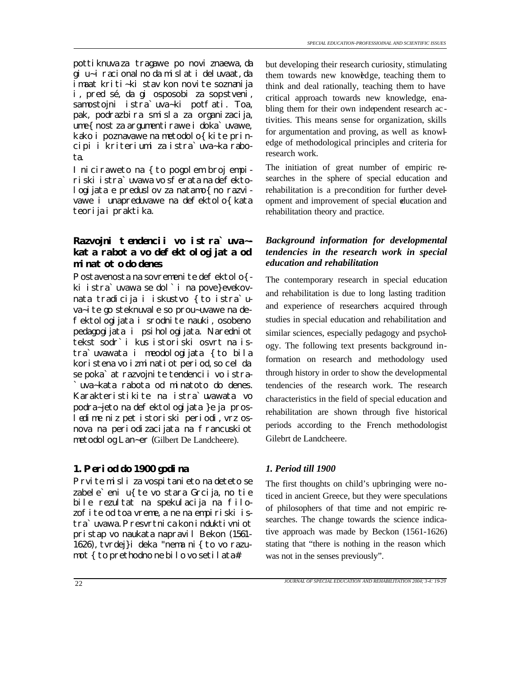pottiknuva za tragawe po novi znaewa, da gi u~i racionalno da mislat i deluvaat, da imaat kriti~ki stav kon novite soznanija i, pred sé, da gi osposobi za sopstveni, samostojni istra`uva~ki potfati. Toa, pak, podrazbira smisla za organizacija, ume{ nost za argumentirawe i doka`uvawe, kako i poznavawe na metodolo{ kite principi i kriteriumi za istra`uva~ka rabota.

I niciraweto na { to pogolem broj empiriski istra`uvawa vo sferata na defektologijata e preduslov za natamo{ no razvivawe i unapreduvawe na defektolo{ kata teorija i praktika.

# *Razvojni tendencii vo istra`uva~ kata rabota vo defektologijata od minatoto do denes*

Postavenosta na sovremeni te defektolo{ki istra`uvawa se dol`i na pove}evekovnata tradicija i iskustvo {to istra`uva~ite go steknuvale so prou~uvawe na defektologijata i srodnite nauki, osobeno pedagogijata i psihologijata. Naredniot tekst sodr`i kus istoriski osvrt na istra`uvawata i meodologijata {to bila koristena vo izminatiot period, so cel da se poka`at razvojni te tendenci i vo istra-`uva~kata rabota od minatoto do denes. Karakteristikite na istra`uvawata vo podra~jeto na defektologijata }e ja prosledime niz pet istoriski periodi, vrz osnova na periodizacijata na francuskiot metodolog Lan~er (Gilbert De Landcheere).

## *1. Period do 1900 godina 1. Period till 1900*

Prvite misli za vospitanieto na deteto se zabele'eni u{ te vo stara Grcija, no tie bile rezultat na spekulacija na filozofite od toa vreme, a ne na empiriski istra`uvawa. Presvrtni ca kon i ndukti vni ot pristap vo naukata napravil Bekon (1561- 1626), tvrdej}i deka "nema ni{to vo razumot { to prethodno ne bilo vo setilata#.

but developing their research curiosity, stimulating them towards new knowledge, teaching them to think and deal rationally, teaching them to have critical approach towards new knowledge, enabling them for their own independent research ac tivities. This means sense for organization, skills for argumentation and proving, as well as knowledge of methodological principles and criteria for research work.

The initiation of great number of empiric researches in the sphere of special education and rehabilitation is a pre-condition for further development and improvement of special education and rehabilitation theory and practice.

### *Background information for developmental tendencies in the research work in special education and rehabilitation*

The contemporary research in special education and rehabilitation is due to long lasting tradition and experience of researchers acquired through studies in special education and rehabilitation and similar sciences, especially pedagogy and psychology. The following text presents background information on research and methodology used through history in order to show the developmental tendencies of the research work. The research characteristics in the field of special education and rehabilitation are shown through five historical periods according to the French methodologist Gilebrt de Landcheere.

The first thoughts on child's upbringing were noticed in ancient Greece, but they were speculations of philosophers of that time and not empiric researches. The change towards the science indicative approach was made by Beckon (1561-1626) stating that "there is nothing in the reason which was not in the senses previously".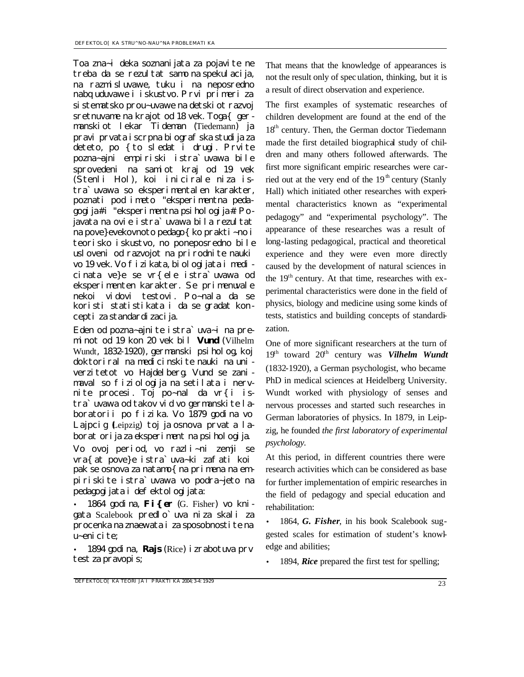Toa zna~i deka soznanijata za pojavite ne treba da se rezultat samo na spekulacija, na razmisluvawe, tuku i na neposredno nabquduvawe i iskustvo. Prvi primeri za sistematsko prou~uvawe na detskiot razvoj sretnuvame na krajot od 18 vek. Toga{ germanskiot lekar Tideman (Tiedemann) ja pravi prvata i scrpna bi ograf ska studi ja za deteto, po {to sledat i drugi. Prvite pozna~ajni empiriski istra`uvawa bile sprovedeni na samiot kraj od 19 vek (Stenli Hol), koi inicirale niza istra`uvawa so eksperimentalen karakter, poznati pod imeto "eksperimentna pedagogija# i "eksperimentna psihologija#. Pojavata na ovie istra`uvawa bila rezultat na pove}evekovnoto pedago{ko prakti~no i teorisko iskustvo, no poneposredno bile usloveni od razvojot na prirodnite nauki vo 19 vek. Vo fizikata, biologijata i medicinata ve}e se vr{ele istra`uvawa od eksperimenten karakter. Se primenuvale nekoi vidovi testovi. Po~nala da se koristi statistikata i da se gradat koncepti za standardizacija.

Eden od pozna~ajnite istra`uva~i na preminot od 19 kon 20 vek bil *Vund* (Vilhelm Wundt, 1832-1920), germanski psiholog, koj doktoriral na medicinskite nauki na univerzitetot vo Hajdelberg. Vund se zanimaval so fiziologija na setilata i nervnite procesi. Toj po~nal da vr{i istra`uvawa od takov vid vo germanski te laboratorii po fizika. Vo 1879 godina vo Lajpcig (Leipzig) toj ja osnova *prvata laboratorija za eksperimentna psihologija*.

Vo ovoj period, vo razli~ni zemji se vra{at pove}e istra`uva~ki zafati koi pak se osnova za natamo{ na primena na empiriskite istra`uvawa vo podra~jeto na pedagogijata i defektologijata:

• 1864 godina, *Fi{er* (G. Fisher) vo knigata Scalebook predlo`uva niza skali za procenka na znaewata i za sposobnostite na u~enicite;

• 1894 godina, *Rajs* (Rice) izrabotuva prv test za pravopis;

That means that the knowledge of appearances is not the result only of spec ulation, thinking, but it is a result of direct observation and experience.

The first examples of systematic researches of children development are found at the end of the 18<sup>th</sup> century. Then, the German doctor Tiedemann made the first detailed biographical study of children and many others followed afterwards. The first more significant empiric researches were carried out at the very end of the  $19<sup>th</sup>$  century (Stanly Hall) which initiated other researches with experimental characteristics known as "experimental pedagogy" and "experimental psychology". The appearance of these researches was a result of long-lasting pedagogical, practical and theoretical experience and they were even more directly caused by the development of natural sciences in the  $19<sup>th</sup>$  century. At that time, researches with experimental characteristics were done in the field of physics, biology and medicine using some kinds of tests, statistics and building concepts of standardization.

One of more significant researchers at the turn of 19<sup>th</sup> toward 20<sup>th</sup> century was *Vilhelm Wundt* (1832-1920), a German psychologist, who became PhD in medical sciences at Heidelberg University. Wundt worked with physiology of senses and nervous processes and started such researches in German laboratories of physics. In 1879, in Leipzig, he founded *the first laboratory of experimental psychology.*

At this period, in different countries there were research activities which can be considered as base for further implementation of empiric researches in the field of pedagogy and special education and rehabilitation:

• 1864, *G. Fisher*, in his book Scalebook suggested scales for estimation of student's knowledge and abilities;

• 1894, *Rice* prepared the first test for spelling;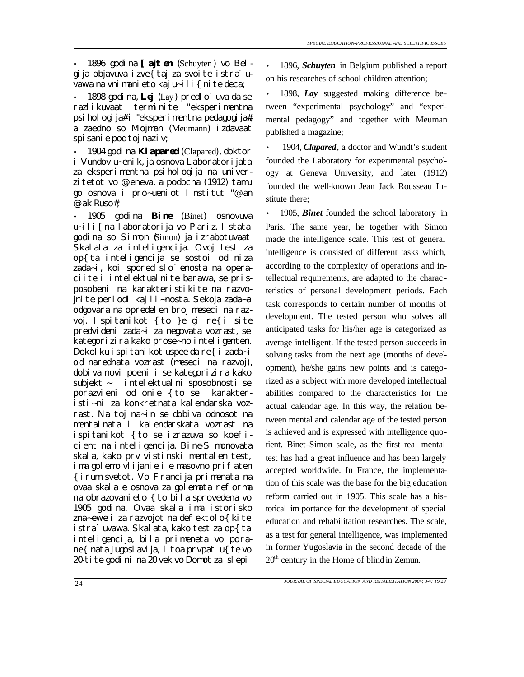• 1896 godina *[ajten* (Schuyten) vo Belgija objavuva izve{taj za svoite istra`uvawa na vnimanieto kaj u~ili{nite deca;

• 1898 godina, *Lej* (Lay) predlo`uva da se razlikuvaat terminite "eksperimentna psihologija# i "eksperimentna pedagogija#, a zaedno so Mojman (Meumann) izdavaat spisanie pod toj naziv;

• 1904 godina *Klapared* (Clapared), doktor i Vundov u~enik, ja osnova Laboratorijata za eksperimentna psihologija na univerzitetot vo @eneva, a podocna (1912) tamu go osnova i pro~ueniot Institut "@an @ak Ruso#;

• 1905 godina *Bine* (Binet) osnovuva u~ili{na laboratorija vo Pariz. Istata godina so Simon (Simon) ja izrabotuvaat Skalata za inteligencija. Ovoj test za op{ta inteligencija se sostoi od niza zada~i, koi spored slo`enosta na operaciite i intelektualnite barawa, se prisposobeni na karakteristikite na razvojnite periodi kaj li~nosta. Sekoja zada~a odgovara na opredelen broj meseci na razvoj. Ispitanikot {to }e gi re{i site predvideni zada~i za negovata vozrast, se kategorizira kako prose~no inteligenten. Dokolku ispitanikot uspee da re{i zada~i od narednata vozrast (meseci na razvoj), dobiva novi poeni i se kategorizira kako subjekt ~ii intelektualni sposobnosti se porazvieni od onie {to se karakteristi~ni za konkretnata kalendarska vozrast. Na toj na~in se dobiva odnosot na mentalnata i kalendarskata vozrast na ispitanikot {to se izrazuva so koeficient na inteligencija. Bine-Simonovata skala, kako prv vistinski mentalen test, ima golemo vlijanie i e masovno prifaten {irum svetot. Vo Francija primenata na ovaa skala e osnova za golemata reforma na obrazovani eto { to bila sprovedena vo 1905 godina. Ovaa skala ima istorisko zna~ewe i za razvojot na defektolo{kite istra`uvawa. Skalata, kako test za op{ta inteligencija, bila primeneta vo porane{ nata Jugoslavija, i toa prvpat u{te vo 20-tite godini na 20 vek vo Domot za slepi

• 1896, *Schuyten* in Belgium published a report on his researches of school children attention;

• 1898, *Lay* suggested making difference between "experimental psychology" and "experimental pedagogy" and together with Meuman published a magazine;

• 1904, *Clapared*, a doctor and Wundt's student founded the Laboratory for experimental psychology at Geneva University, and later (1912) founded the well-known Jean Jack Rousseau Institute there;

• 1905, *Binet* founded the school laboratory in Paris. The same year, he together with Simon made the intelligence scale. This test of general intelligence is consisted of different tasks which, according to the complexity of operations and intellectual requirements, are adapted to the charac teristics of personal development periods. Each task corresponds to certain number of months of development. The tested person who solves all anticipated tasks for his/her age is categorized as average intelligent. If the tested person succeeds in solving tasks from the next age (months of development), he/she gains new points and is categorized as a subject with more developed intellectual abilities compared to the characteristics for the actual calendar age. In this way, the relation between mental and calendar age of the tested person is achieved and is expressed with intelligence quotient. Binet-Simon scale, as the first real mental test has had a great influence and has been largely accepted worldwide. In France, the implementation of this scale was the base for the big education reform carried out in 1905. This scale has a historical im portance for the development of special education and rehabilitation researches. The scale, as a test for general intelligence, was implemented in former Yugoslavia in the second decade of the  $20<sup>th</sup>$  century in the Home of blind in Zemun.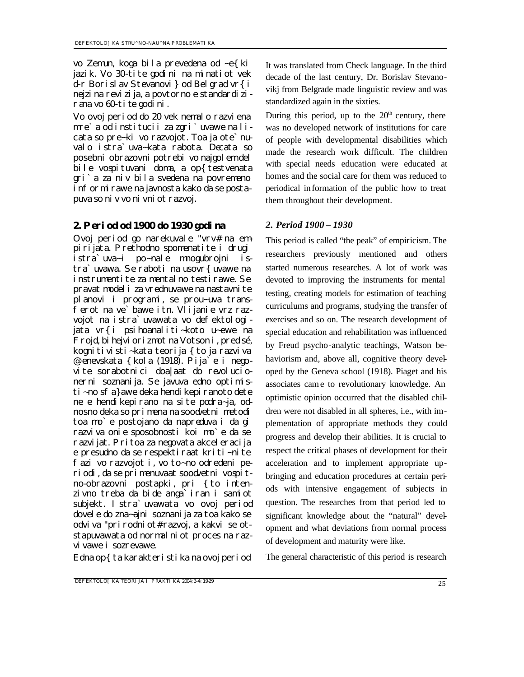vo Zemun, koga bila prevedena od ~e{ki jazik. Vo 30-tite godini na minatiot vek d-r Borislav Stevanovi} od Belgrad vr{i nejzina revizija, a povtorno e standardizirana vo 60-tite godini.

Vo ovoj period do 20 vek nemalo razviena mre`a od institucii za zgri`uvawe na licata so pre~ki vo razvojot. Toa ja ote`nuvalo istra`uva~kata rabota. Decata so posebni obrazovni potrebi vo najgolem del bile vospituvani doma, a op{testvenata gri`a za niv bila svedena na povremeno informirawe na javnosta kako da se postapuva so niv vo nivniot razvoj.

### *2. Period od 1900 do 1930 godina 2. Period 1900 – 1930*

Ovoj period go narekuvale "vrv# na empirijata. Prethodno spomenatite i drugi istra`uva~i po~nale mnogubrojni istra`uvawa. Se raboti na usovr{uvawe na instrumentite za mentalno testirawe. Se pravat modeli za vrednuvawe na nastavnite planovi i programi, se prou~uva transferot na ve`bawe itn. Vlijanie vrz razvojot na istra`uvawata vo defektologijata vr{i psihoanaliti~koto u~ewe na Frojd, bihejviorizmot na Votson i, pred sé, kognitivisti~kata teorija { to ja razviva @enevskata {kola (1918). Pija`e i negovite sorabotnici doa|aat do revolucionerni soznanija. Se javuva edno optimisti~no sfa}awe deka hendi kepi ranoto dete ne e hendikepirano na site podra~ja, odnosno deka so primena na soodvetni metodi toa mo`e postojano da napreduva i da gi razviva onie sposobnosti koi mo`e da se razvijat. Pritoa za negovata akceleracija e presudno da se respektiraat kriti~nite fazi vo razvojot i, vo to~no odredeni periodi, da se primenuvaat soodvetni vospitno-obrazovni postapki, pri {to intenzivno treba da bide anga`iran i samiot subjekt. Istra`uvawata vo ovoj period dovele do zna~ajni soznanija za toa kako se odviva "prirodniot# razvoj, a kakvi se otstapuvawata od normal ni ot proces na razvi vawe i sozrevawe.

Edna op{ ta karakteri sti ka na ovoj peri od

It was translated from Check language. In the third decade of the last century, Dr. Borislav Stevanovikj from Belgrade made linguistic review and was standardized again in the sixties.

During this period, up to the  $20<sup>th</sup>$  century, there was no developed network of institutions for care of people with developmental disabilities which made the research work difficult. The children with special needs education were educated at homes and the social care for them was reduced to periodical information of the public how to treat them throughout their development.

This period is called "the peak" of empiricism. The researchers previously mentioned and others started numerous researches. A lot of work was devoted to improving the instruments for mental testing, creating models for estimation of teaching curriculums and programs, studying the transfer of exercises and so on. The research development of special education and rehabilitation was influenced by Freud psycho-analytic teachings, Watson behaviorism and, above all, cognitive theory developed by the Geneva school (1918). Piaget and his associates came to revolutionary knowledge. An optimistic opinion occurred that the disabled children were not disabled in all spheres, i.e., with implementation of appropriate methods they could progress and develop their abilities. It is crucial to respect the critical phases of development for their acceleration and to implement appropriate upbringing and education procedures at certain periods with intensive engagement of subjects in question. The researches from that period led to significant knowledge about the "natural" development and what deviations from normal process of development and maturity were like.

The general characteristic of this period is research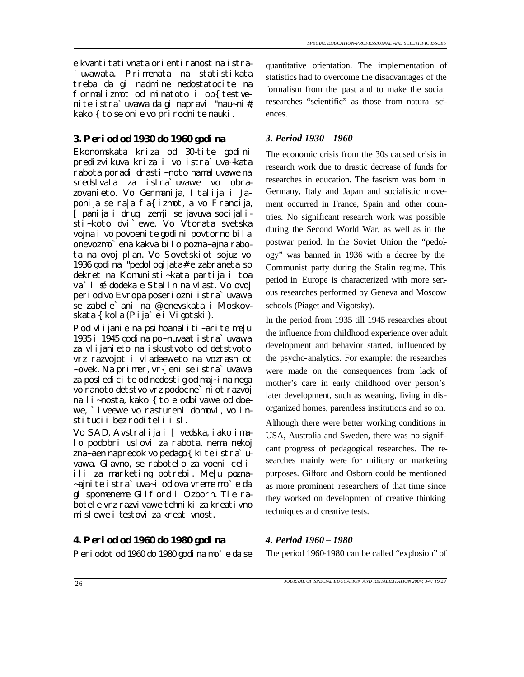e kvantitativnata orientiranost na istra- `uvawata. Primenata na statistikata treba da gi nadmine nedostatocite na formalizmot od minatoto i op{test venite istra`uvawa da gi napravi "nau~ni#, kako { to se onie vo prirodnite nauki.

# *3. Period od 1930 do 1960 godina 3. Period 1930 – 1960*

Ekonomskata kriza od 30-tite godini predizvikuva kriza i vo istra`uva~kata rabota poradi drasti~noto namaluvawe na sredstvata za istra`uvawe vo obrazovanieto. Vo Germanija, Italija i Japonija se ra|a fa{izmot, a vo Francija, [panija i drugi zemji se javuva socijalisti~koto dvi`ewe. Vo Vtorata svetska vojna i vo povoeni te godini povtorno bila onevozmo`ena kakva bilo pozna~ajna rabota na ovoj plan. Vo Sovetskiot sojuz vo 1936 godina "pedologijata# e zabraneta so dekret na Komunisti~kata partija i toa va`i sé dodeka e Stalin na vlast. Vo ovoj period vo Evropa poseriozni istra`uvawa se zabele`ani na @enevskata i Moskovskata {kola (Pija`e i Vigotski).

Pod vlijanie na psihoanaliti~arite me|u 1935 i 1945 godina po~nuvaat istra`uvawa za vlijanieto na iskustvoto od detstvoto vrz razvojot i vladeeweto na vozrasniot ~ovek. Na primer, vr{eni se istra`uvawa za posledicite od nedostig od maj~ina nega vo ranoto detstvo vrz podocne`niot razvoj na li~nosta, kako { to e odbivawe od doewe, `iveewe vo rastureni domovi, vo institucii bez roditeli i sl.

Vo SAD, Avstralija i [vedska, iako imalo podobri uslovi za rabota, nema nekoj zna~aen napredok vo pedago{ kite istra`uvawa. Glavno, se rabotelo za voeni celi ili za marketing potrebi. Me|u pozna- ~ajnite istra`uva~i od ova vreme mo`e da gi spomeneme Gilford i Ozborn. Tie rabotele vrz razvivawe tehniki za kreativno mislewe i testovi za kreativnost.

## *4. Period od 1960 do 1980 godina 4. Period 1960 – 1980*

Periodot od 1960 do 1980 godina mo`e da se The period 1960-1980 can be called "explosion" of

quantitative orientation. The implementation of statistics had to overcome the disadvantages of the formalism from the past and to make the social researches "scientific" as those from natural sciences.

The economic crisis from the 30s caused crisis in research work due to drastic decrease of funds for researches in education. The fascism was born in Germany, Italy and Japan and socialistic movement occurred in France, Spain and other countries. No significant research work was possible during the Second World War, as well as in the postwar period. In the Soviet Union the "pedology" was banned in 1936 with a decree by the Communist party during the Stalin regime. This period in Europe is characterized with more serious researches performed by Geneva and Moscow schools (Piaget and Vigotsky).

In the period from 1935 till 1945 researches about the influence from childhood experience over adult development and behavior started, influenced by the psycho-analytics. For example: the researches were made on the consequences from lack of mother's care in early childhood over person's later development, such as weaning, living in disorganized homes, parentless institutions and so on.

Although there were better working conditions in USA, Australia and Sweden, there was no significant progress of pedagogical researches. The researches mainly were for military or marketing purposes. Gilford and Osborn could be mentioned as more prominent researchers of that time since they worked on development of creative thinking techniques and creative tests.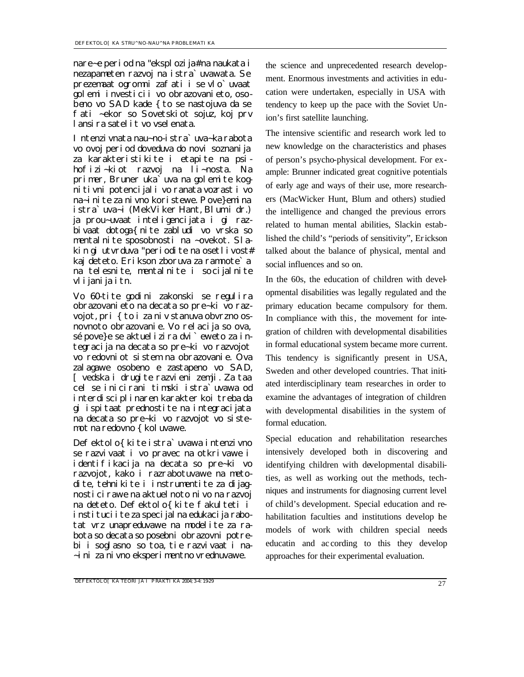nare~e period na "eksplozija# na naukata i nezapameten razvoj na istra`uvawata. Se prezemaat ogromni zafati i se vlo`uvaat golemi investicii vo obrazovanieto, osobeno vo SAD kade { to se nastojuva da se fati ~ekor so Sovetskiot sojuz, koj prv lansira satelit vo vselenata.

Intenzivnata nau~no-istra`uva~ka rabota vo ovoj period doveduva do novi soznanija za karakteristikite i etapite na psihofizi~kiot razvoj na li~nosta. Na primer, Bruner uka<sup>'</sup>uva na golemite kognitivni potencijali vo ranata vozrast i vo na~inite za nivno koristewe. Pove}emina istra`uva~i (MekViker Hant, Blum i dr.) ja prou~uvaat inteligencijata i gi razbivaat dotoga{nite zabludi vo vrska so mentalnite sposobnosti na ~ovekot. Slakin gi utvrduva "periodite na osetlivost# kaj deteto. Erikson zboruva za ramnote`a na telesnite, mentalnite i socijalnite vlijanija itn.

Vo 60-tite godini zakonski se regulira obrazovanieto na decata so pre~ki vo razvojot, pri { to i za niv stanuva obvrzno osnovnoto obrazovanie. Vo relacija so ova, sé pove}e se aktuelizira dvi`eweto za integracija na decata so pre~ki vo razvojot vo redovniot sistem na obrazovanie. Ova zalagawe osobeno e zastapeno vo SAD, [vedska i drugite razvieni zemji. Za taa cel se inicirani timski istra`uvawa od interdisciplinaren karakter koi treba da gi ispitaat prednostite na integracijata na decata so pre~ki vo razvojot vo sistemot na redovno { kol uvawe.

Defektolo{ kite istra`uvawa intenzivno se razvivaat i vo pravec na otkrivawe i identifikacija na decata so pre~ki vo razvojot, kako i razrabotuvawe na metodite, tehnikite i instrumentite za dijagnosticirawe na aktuelnoto nivo na razvoj na deteto. Defektolo{ kite fakulteti i instituci i te za specijal na edukacija rabotat vrz unapreduvawe na modelite za rabota so decata so posebni obrazovni potrebi i soglasno so toa, tie razvivaat i na- ~ini za nivno eksperimentno vrednuvawe.

the science and unprecedented research development. Enormous investments and activities in education were undertaken, especially in USA with tendency to keep up the pace with the Soviet Union's first satellite launching.

The intensive scientific and research work led to new knowledge on the characteristics and phases of person's psycho-physical development. For example: Brunner indicated great cognitive potentials of early age and ways of their use, more researchers (MacWicker Hunt, Blum and others) studied the intelligence and changed the previous errors related to human mental abilities, Slackin established the child's "periods of sensitivity", Erickson talked about the balance of physical, mental and social influences and so on.

In the 60s, the education of children with developmental disabilities was legally regulated and the primary education became compulsory for them. In compliance with this, the movement for integration of children with developmental disabilities in formal educational system became more current. This tendency is significantly present in USA, Sweden and other developed countries. That initiated interdisciplinary team researches in order to examine the advantages of integration of children with developmental disabilities in the system of formal education.

Special education and rehabilitation researches intensively developed both in discovering and identifying children with developmental disabilities, as well as working out the methods, techniques and instruments for diagnosing current level of child's development. Special education and rehabilitation faculties and institutions develop he models of work with children special needs educatin and ac cording to this they develop approaches for their experimental evaluation.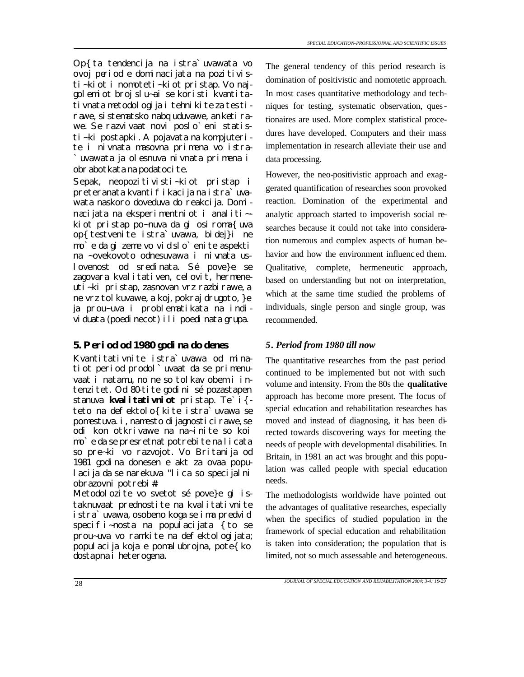Op{ta tendencija na istra`uvawata vo ovoj period e dominacijata na pozitivisti~kiot i nomoteti~kiot pristap. Vo najgolemiot broj slu~ai se koristi kvantitativnata metodologija i tehnikite za testirawe, sistematsko nabquduvawe, anketirawe. Se razvivaat novi poslo`eni statisti~ki postapki. A pojavata na kompjuterite i nivnata masovna primena vo istra- `uvawata ja olesnuva nivnata primena i obrabotkata na podatoci te.

Sepak, neopozitivisti~kiot pristap i preteranata kvantifikacija na istra`uvawata naskoro doveduva do reakcija. Dominacijata na eksperimentniot i analiti~ kiot pristap po~nuva da gi osiroma{uva op{testvenite istra`uvawa, bidej}i ne mo`e da gi zeme vo vid slo`enite aspekti na ~ovekovoto odnesuvawa i nivnata uslovenost od sredinata. Sé pove}e se zagovara kvalitativen, celovit, hermeneuti~ki pristap, zasnovan vrz razbirawe, a ne vrz tol kuvawe, a koj, pokraj drugoto, }e ja prou~uva i problematikata na individuata (poedinecot) ili poedinata grupa.

### *5. Period od 1980 godina do denes 5. Period from 1980 till now*

Kvantitativnite istra`uvawa od minatiot period prodol`uvaat da se primenuvaat i natamu, no ne so tolkav obem i intenzitet. Od 80-tite godini sé pozastapen stanuva **kvalitativniot** pristap. Te`i{ teto na defektolo{kite istra`uvawa se pomestuva. i, namesto dijagnosticirawe, se odi kon otkrivawe na na~inite so koi mo`e da se presretnat potrebite na licata so pre~ki vo razvojot. Vo Britanija od 1981 godina donesen e akt za ovaa populacija da se narekuva "lica so specijalni obrazovni potrebi#.

Metodolozite vo svetot sé pove}e gi istaknuvaat prednostite na kvalitativnite istra`uvawa, osobeno koga se ima predvid specifi~nosta na populacijata {to se prou~uva vo ramkite na defektologijata; populacija koja e pomalubrojna, pote{ko dostapna i heterogena.

The general tendency of this period research is domination of positivistic and nomotetic approach. In most cases quantitative methodology and techniques for testing, systematic observation, questionaires are used. More complex statistical procedures have developed. Computers and their mass implementation in research alleviate their use and data processing.

However, the neo-positivistic approach and exaggerated quantification of researches soon provoked reaction. Domination of the experimental and analytic approach started to impoverish social researches because it could not take into consideration numerous and complex aspects of human behavior and how the environment influenc ed them. Qualitative, complete, hermeneutic approach, based on understanding but not on interpretation, which at the same time studied the problems of individuals, single person and single group, was recommended.

The quantitative researches from the past period continued to be implemented but not with such volume and intensity. From the 80s the **qualitative**  approach has become more present. The focus of special education and rehabilitation researches has moved and instead of diagnosing, it has been directed towards discovering ways for meeting the needs of people with developmental disabilities. In Britain, in 1981 an act was brought and this population was called people with special education needs.

The methodologists worldwide have pointed out the advantages of qualitative researches, especially when the specifics of studied population in the framework of special education and rehabilitation is taken into consideration; the population that is limited, not so much assessable and heterogeneous.